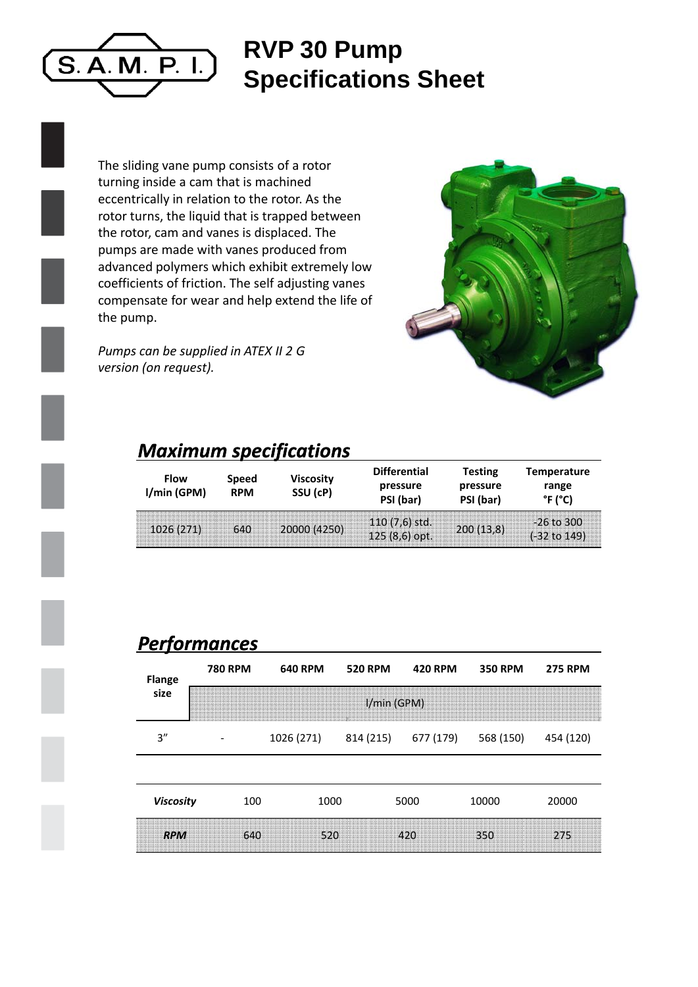

## **RVP 30 P Pump Specifications Sheet**

The sliding vane pump consists of a rotor turning inside a cam that is machined eccentrically in relation to the rotor. As the rotor turns, the liquid that is trapped between the rotor, cam and vanes is displaced. The pumps are made with vanes produced from advanced polymers which exhibit extremely low coefficients of friction. The self adjusting vanes compensate for wear and help extend the life of the pump.

*Pumps can be supplied in ATEX II 2 G version (on request).*



## *Maximum specifications s*

| <b>Flow</b><br>I/min (GPM) | Speed<br><b>RPM</b> | <b>Viscosity</b><br>SSU (cP) | <b>Differential</b><br>pressure<br>PSI (bar) | <b>Testing</b><br>pressure<br>PSI (bar) | <b>Temperature</b><br>range<br>°F (°C)  |  |
|----------------------------|---------------------|------------------------------|----------------------------------------------|-----------------------------------------|-----------------------------------------|--|
| 1026(271)                  | 640                 | 20000 (4250)                 | $110(7,6)$ std.<br>$125(8,6)$ opt.           | 200(13,8)                               | $-26$ to 300<br>$(-32 \text{ to } 149)$ |  |

## *Performances*

| <b>Flange</b>    | <b>780 RPM</b> | <b>640 RPM</b> | <b>520 RPM</b> | <b>420 RPM</b> | <b>350 RPM</b> | <b>275 RPM</b> |  |  |  |
|------------------|----------------|----------------|----------------|----------------|----------------|----------------|--|--|--|
| size             | I/min (GPM)    |                |                |                |                |                |  |  |  |
| 3''              |                | 1026 (271)     | 814 (215)      | 677 (179)      | 568 (150)      | 454 (120)      |  |  |  |
|                  |                |                |                |                |                |                |  |  |  |
| <b>Viscosity</b> | 100            | 1000           |                | 5000           | 10000          | 20000          |  |  |  |
| <b>RPM</b>       | 640            | 520            |                | 420            | 350            | 275            |  |  |  |